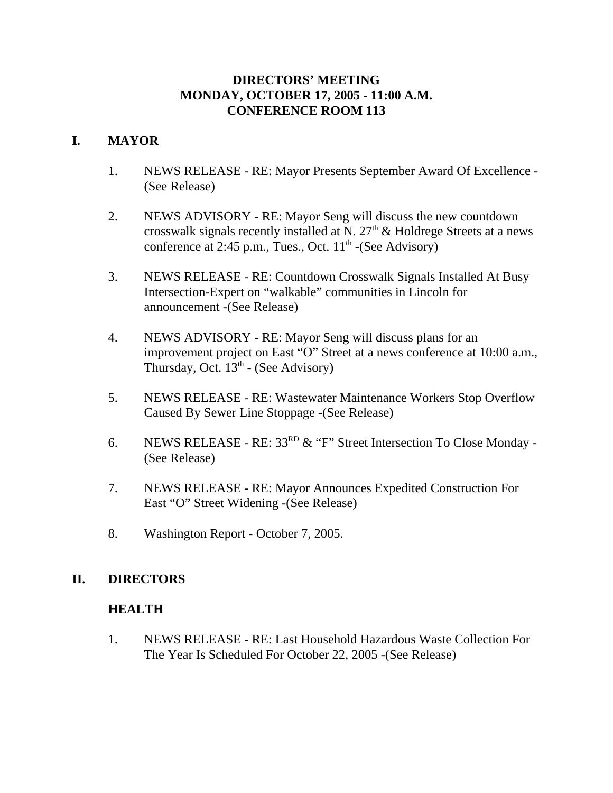## **DIRECTORS' MEETING MONDAY, OCTOBER 17, 2005 - 11:00 A.M. CONFERENCE ROOM 113**

## **I. MAYOR**

- 1. NEWS RELEASE RE: Mayor Presents September Award Of Excellence (See Release)
- 2. NEWS ADVISORY RE: Mayor Seng will discuss the new countdown crosswalk signals recently installed at N.  $27<sup>th</sup>$  & Holdrege Streets at a news conference at 2:45 p.m., Tues., Oct.  $11<sup>th</sup>$  -(See Advisory)
- 3. NEWS RELEASE RE: Countdown Crosswalk Signals Installed At Busy Intersection-Expert on "walkable" communities in Lincoln for announcement -(See Release)
- 4. NEWS ADVISORY RE: Mayor Seng will discuss plans for an improvement project on East "O" Street at a news conference at 10:00 a.m., Thursday, Oct.  $13<sup>th</sup>$  - (See Advisory)
- 5. NEWS RELEASE RE: Wastewater Maintenance Workers Stop Overflow Caused By Sewer Line Stoppage -(See Release)
- 6. NEWS RELEASE RE:  $33^{RD}$  & "F" Street Intersection To Close Monday -(See Release)
- 7. NEWS RELEASE RE: Mayor Announces Expedited Construction For East "O" Street Widening -(See Release)
- 8. Washington Report October 7, 2005.

## **II. DIRECTORS**

## **HEALTH**

1. NEWS RELEASE - RE: Last Household Hazardous Waste Collection For The Year Is Scheduled For October 22, 2005 -(See Release)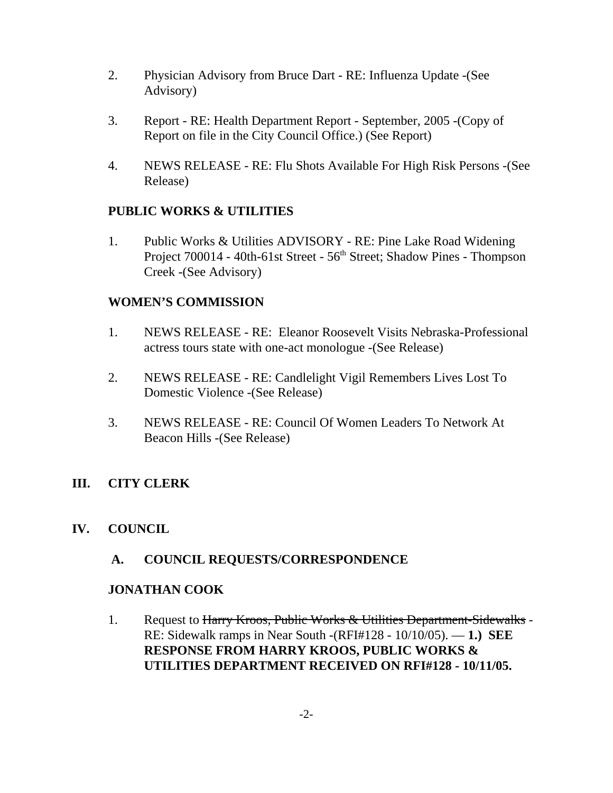- 2. Physician Advisory from Bruce Dart RE: Influenza Update -(See Advisory)
- 3. Report RE: Health Department Report September, 2005 -(Copy of Report on file in the City Council Office.) (See Report)
- 4. NEWS RELEASE RE: Flu Shots Available For High Risk Persons -(See Release)

## **PUBLIC WORKS & UTILITIES**

1. Public Works & Utilities ADVISORY - RE: Pine Lake Road Widening Project 700014 - 40th-61st Street - 56<sup>th</sup> Street; Shadow Pines - Thompson Creek -(See Advisory)

## **WOMEN'S COMMISSION**

- 1. NEWS RELEASE RE: Eleanor Roosevelt Visits Nebraska-Professional actress tours state with one-act monologue -(See Release)
- 2. NEWS RELEASE RE: Candlelight Vigil Remembers Lives Lost To Domestic Violence -(See Release)
- 3. NEWS RELEASE RE: Council Of Women Leaders To Network At Beacon Hills -(See Release)

## **III. CITY CLERK**

**IV. COUNCIL**

## **A. COUNCIL REQUESTS/CORRESPONDENCE**

## **JONATHAN COOK**

1. Request to Harry Kroos, Public Works & Utilities Department-Sidewalks -RE: Sidewalk ramps in Near South -(RFI#128 - 10/10/05). — **1.) SEE RESPONSE FROM HARRY KROOS, PUBLIC WORKS & UTILITIES DEPARTMENT RECEIVED ON RFI#128 - 10/11/05.**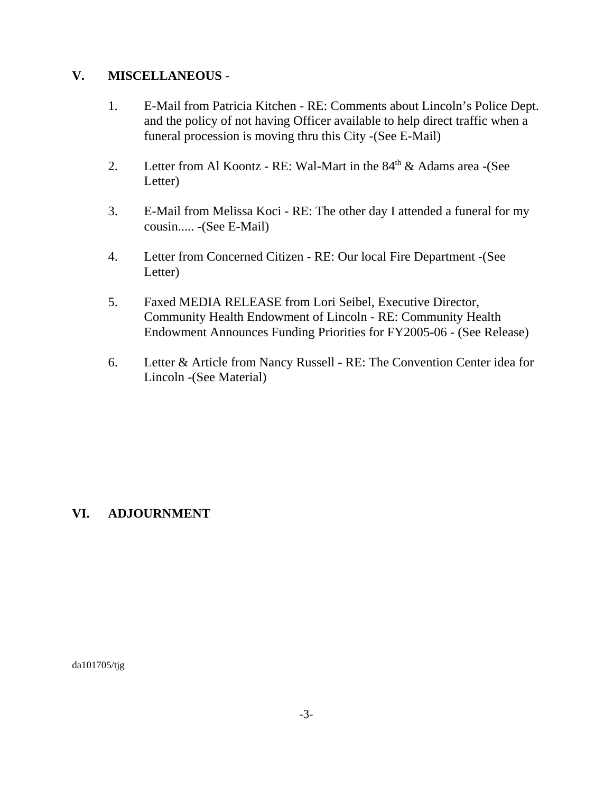## **V. MISCELLANEOUS** -

- 1. E-Mail from Patricia Kitchen RE: Comments about Lincoln's Police Dept. and the policy of not having Officer available to help direct traffic when a funeral procession is moving thru this City -(See E-Mail)
- 2. Letter from Al Koontz RE: Wal-Mart in the  $84<sup>th</sup>$  & Adams area -(See Letter)
- 3. E-Mail from Melissa Koci RE: The other day I attended a funeral for my cousin..... -(See E-Mail)
- 4. Letter from Concerned Citizen RE: Our local Fire Department -(See Letter)
- 5. Faxed MEDIA RELEASE from Lori Seibel, Executive Director, Community Health Endowment of Lincoln - RE: Community Health Endowment Announces Funding Priorities for FY2005-06 - (See Release)
- 6. Letter & Article from Nancy Russell RE: The Convention Center idea for Lincoln -(See Material)

# **VI. ADJOURNMENT**

da101705/tjg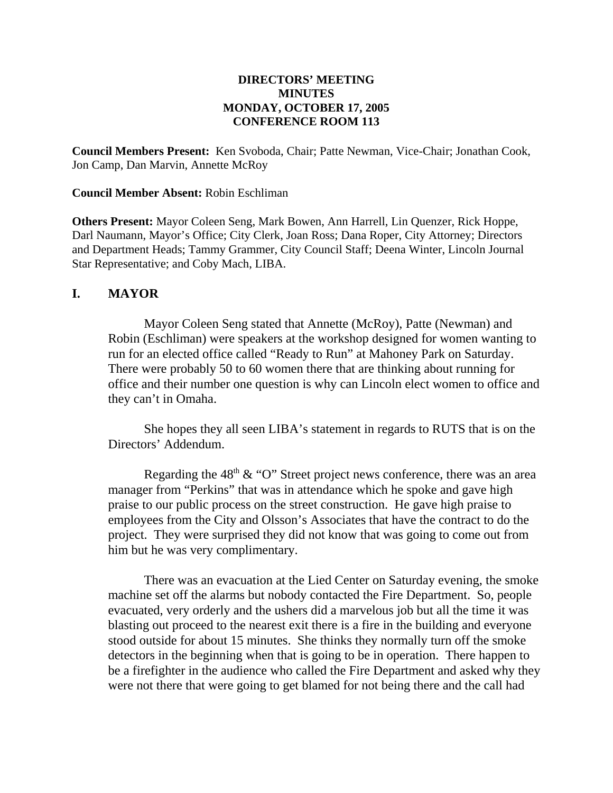#### **DIRECTORS' MEETING MINUTES MONDAY, OCTOBER 17, 2005 CONFERENCE ROOM 113**

**Council Members Present:** Ken Svoboda, Chair; Patte Newman, Vice-Chair; Jonathan Cook, Jon Camp, Dan Marvin, Annette McRoy

#### **Council Member Absent:** Robin Eschliman

**Others Present:** Mayor Coleen Seng, Mark Bowen, Ann Harrell, Lin Quenzer, Rick Hoppe, Darl Naumann, Mayor's Office; City Clerk, Joan Ross; Dana Roper, City Attorney; Directors and Department Heads; Tammy Grammer, City Council Staff; Deena Winter, Lincoln Journal Star Representative; and Coby Mach, LIBA.

#### **I. MAYOR**

Mayor Coleen Seng stated that Annette (McRoy), Patte (Newman) and Robin (Eschliman) were speakers at the workshop designed for women wanting to run for an elected office called "Ready to Run" at Mahoney Park on Saturday. There were probably 50 to 60 women there that are thinking about running for office and their number one question is why can Lincoln elect women to office and they can't in Omaha.

She hopes they all seen LIBA's statement in regards to RUTS that is on the Directors' Addendum.

Regarding the  $48<sup>th</sup> \& ^{\circ}$  "O" Street project news conference, there was an area manager from "Perkins" that was in attendance which he spoke and gave high praise to our public process on the street construction. He gave high praise to employees from the City and Olsson's Associates that have the contract to do the project. They were surprised they did not know that was going to come out from him but he was very complimentary.

There was an evacuation at the Lied Center on Saturday evening, the smoke machine set off the alarms but nobody contacted the Fire Department. So, people evacuated, very orderly and the ushers did a marvelous job but all the time it was blasting out proceed to the nearest exit there is a fire in the building and everyone stood outside for about 15 minutes. She thinks they normally turn off the smoke detectors in the beginning when that is going to be in operation. There happen to be a firefighter in the audience who called the Fire Department and asked why they were not there that were going to get blamed for not being there and the call had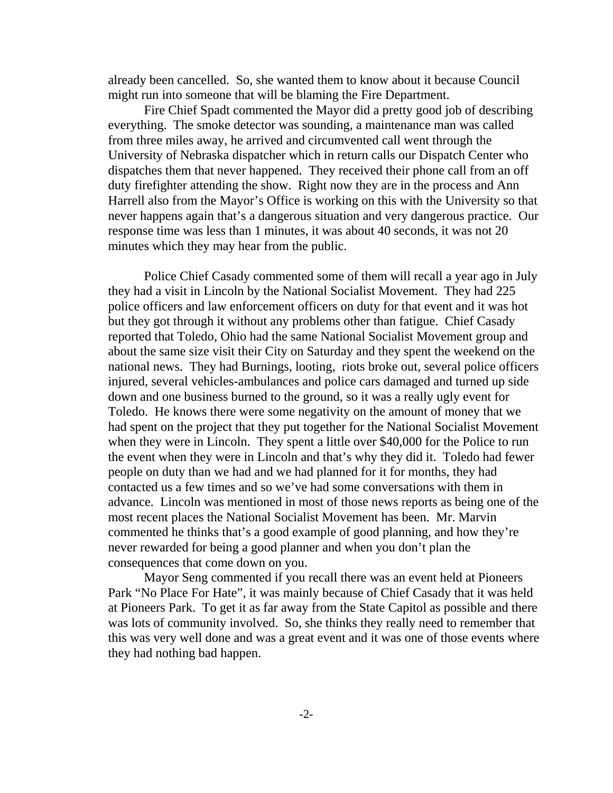already been cancelled. So, she wanted them to know about it because Council might run into someone that will be blaming the Fire Department.

Fire Chief Spadt commented the Mayor did a pretty good job of describing everything. The smoke detector was sounding, a maintenance man was called from three miles away, he arrived and circumvented call went through the University of Nebraska dispatcher which in return calls our Dispatch Center who dispatches them that never happened. They received their phone call from an off duty firefighter attending the show. Right now they are in the process and Ann Harrell also from the Mayor's Office is working on this with the University so that never happens again that's a dangerous situation and very dangerous practice. Our response time was less than 1 minutes, it was about 40 seconds, it was not 20 minutes which they may hear from the public.

Police Chief Casady commented some of them will recall a year ago in July they had a visit in Lincoln by the National Socialist Movement. They had 225 police officers and law enforcement officers on duty for that event and it was hot but they got through it without any problems other than fatigue. Chief Casady reported that Toledo, Ohio had the same National Socialist Movement group and about the same size visit their City on Saturday and they spent the weekend on the national news. They had Burnings, looting, riots broke out, several police officers injured, several vehicles-ambulances and police cars damaged and turned up side down and one business burned to the ground, so it was a really ugly event for Toledo. He knows there were some negativity on the amount of money that we had spent on the project that they put together for the National Socialist Movement when they were in Lincoln. They spent a little over \$40,000 for the Police to run the event when they were in Lincoln and that's why they did it. Toledo had fewer people on duty than we had and we had planned for it for months, they had contacted us a few times and so we've had some conversations with them in advance. Lincoln was mentioned in most of those news reports as being one of the most recent places the National Socialist Movement has been. Mr. Marvin commented he thinks that's a good example of good planning, and how they're never rewarded for being a good planner and when you don't plan the consequences that come down on you.

Mayor Seng commented if you recall there was an event held at Pioneers Park "No Place For Hate", it was mainly because of Chief Casady that it was held at Pioneers Park. To get it as far away from the State Capitol as possible and there was lots of community involved. So, she thinks they really need to remember that this was very well done and was a great event and it was one of those events where they had nothing bad happen.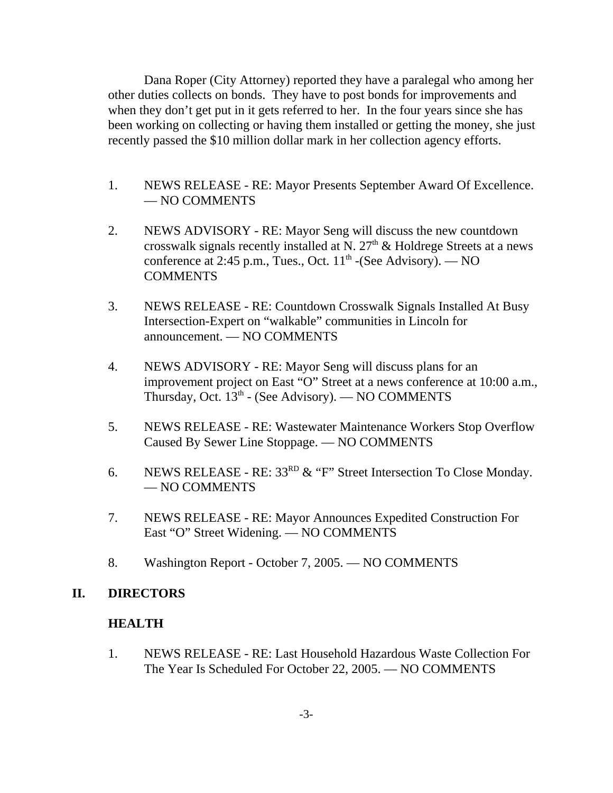Dana Roper (City Attorney) reported they have a paralegal who among her other duties collects on bonds. They have to post bonds for improvements and when they don't get put in it gets referred to her. In the four years since she has been working on collecting or having them installed or getting the money, she just recently passed the \$10 million dollar mark in her collection agency efforts.

- 1. NEWS RELEASE RE: Mayor Presents September Award Of Excellence. — NO COMMENTS
- 2. NEWS ADVISORY RE: Mayor Seng will discuss the new countdown crosswalk signals recently installed at N.  $27<sup>th</sup>$  & Holdrege Streets at a news conference at 2:45 p.m., Tues., Oct.  $11<sup>th</sup>$  -(See Advisory). — NO **COMMENTS**
- 3. NEWS RELEASE RE: Countdown Crosswalk Signals Installed At Busy Intersection-Expert on "walkable" communities in Lincoln for announcement. — NO COMMENTS
- 4. NEWS ADVISORY RE: Mayor Seng will discuss plans for an improvement project on East "O" Street at a news conference at 10:00 a.m., Thursday, Oct.  $13<sup>th</sup>$  - (See Advisory). — NO COMMENTS
- 5. NEWS RELEASE RE: Wastewater Maintenance Workers Stop Overflow Caused By Sewer Line Stoppage. — NO COMMENTS
- 6. NEWS RELEASE RE: 33<sup>RD</sup> & "F" Street Intersection To Close Monday. — NO COMMENTS
- 7. NEWS RELEASE RE: Mayor Announces Expedited Construction For East "O" Street Widening. — NO COMMENTS
- 8. Washington Report October 7, 2005. NO COMMENTS

#### **II. DIRECTORS**

#### **HEALTH**

1. NEWS RELEASE - RE: Last Household Hazardous Waste Collection For The Year Is Scheduled For October 22, 2005. — NO COMMENTS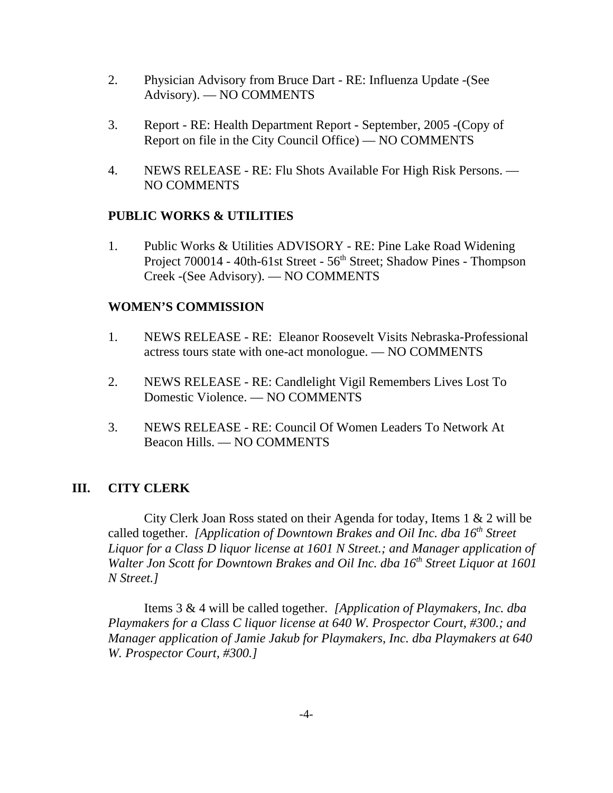- 2. Physician Advisory from Bruce Dart RE: Influenza Update -(See Advisory). — NO COMMENTS
- 3. Report RE: Health Department Report September, 2005 -(Copy of Report on file in the City Council Office) — NO COMMENTS
- 4. NEWS RELEASE RE: Flu Shots Available For High Risk Persons. NO COMMENTS

## **PUBLIC WORKS & UTILITIES**

1. Public Works & Utilities ADVISORY - RE: Pine Lake Road Widening Project 700014 - 40th-61st Street - 56<sup>th</sup> Street; Shadow Pines - Thompson Creek -(See Advisory). — NO COMMENTS

### **WOMEN'S COMMISSION**

- 1. NEWS RELEASE RE: Eleanor Roosevelt Visits Nebraska-Professional actress tours state with one-act monologue. — NO COMMENTS
- 2. NEWS RELEASE RE: Candlelight Vigil Remembers Lives Lost To Domestic Violence. — NO COMMENTS
- 3. NEWS RELEASE RE: Council Of Women Leaders To Network At Beacon Hills. — NO COMMENTS

## **III. CITY CLERK**

City Clerk Joan Ross stated on their Agenda for today, Items 1 & 2 will be called together. *[Application of Downtown Brakes and Oil Inc. dba 16<sup>th</sup> Street Liquor for a Class D liquor license at 1601 N Street.; and Manager application of Walter Jon Scott for Downtown Brakes and Oil Inc. dba 16<sup>th</sup> Street Liquor at 1601 N Street.]* 

Items 3 & 4 will be called together. *[Application of Playmakers, Inc. dba Playmakers for a Class C liquor license at 640 W. Prospector Court, #300.; and Manager application of Jamie Jakub for Playmakers, Inc. dba Playmakers at 640 W. Prospector Court, #300.]*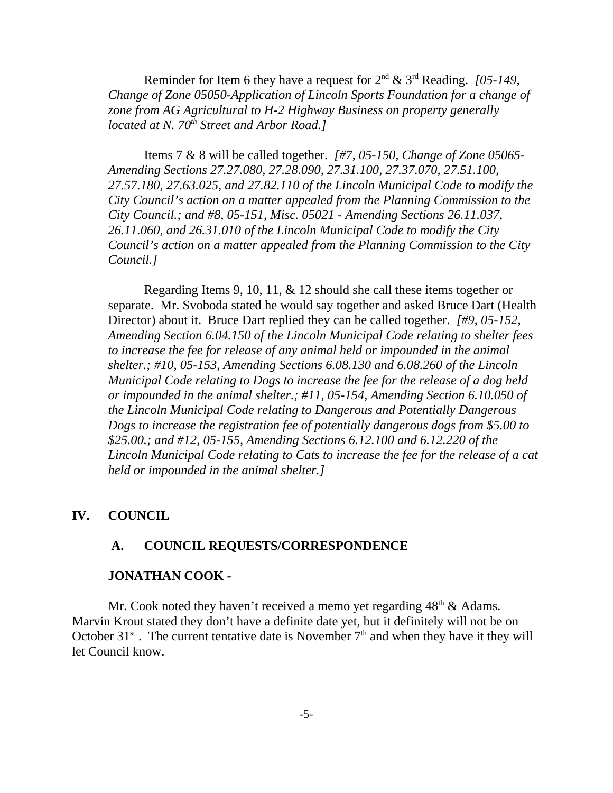Reminder for Item 6 they have a request for 2nd & 3rd Reading. *[05-149, Change of Zone 05050-Application of Lincoln Sports Foundation for a change of zone from AG Agricultural to H-2 Highway Business on property generally located at N. 70<sup>th</sup> Street and Arbor Road.]* 

Items 7 & 8 will be called together. *[#7, 05-150, Change of Zone 05065- Amending Sections 27.27.080, 27.28.090, 27.31.100, 27.37.070, 27.51.100, 27.57.180, 27.63.025, and 27.82.110 of the Lincoln Municipal Code to modify the City Council's action on a matter appealed from the Planning Commission to the City Council.; and #8, 05-151, Misc. 05021 - Amending Sections 26.11.037, 26.11.060, and 26.31.010 of the Lincoln Municipal Code to modify the City Council's action on a matter appealed from the Planning Commission to the City Council.]* 

Regarding Items 9, 10, 11, & 12 should she call these items together or separate. Mr. Svoboda stated he would say together and asked Bruce Dart (Health Director) about it. Bruce Dart replied they can be called together. *[#9, 05-152, Amending Section 6.04.150 of the Lincoln Municipal Code relating to shelter fees to increase the fee for release of any animal held or impounded in the animal shelter.; #10, 05-153, Amending Sections 6.08.130 and 6.08.260 of the Lincoln Municipal Code relating to Dogs to increase the fee for the release of a dog held or impounded in the animal shelter.; #11, 05-154, Amending Section 6.10.050 of the Lincoln Municipal Code relating to Dangerous and Potentially Dangerous Dogs to increase the registration fee of potentially dangerous dogs from \$5.00 to \$25.00.; and #12, 05-155, Amending Sections 6.12.100 and 6.12.220 of the Lincoln Municipal Code relating to Cats to increase the fee for the release of a cat held or impounded in the animal shelter.]*

#### **IV. COUNCIL**

#### **A. COUNCIL REQUESTS/CORRESPONDENCE**

#### **JONATHAN COOK -**

Mr. Cook noted they haven't received a memo yet regarding  $48<sup>th</sup> \&$  Adams. Marvin Krout stated they don't have a definite date yet, but it definitely will not be on October  $31<sup>st</sup>$ . The current tentative date is November  $7<sup>th</sup>$  and when they have it they will let Council know.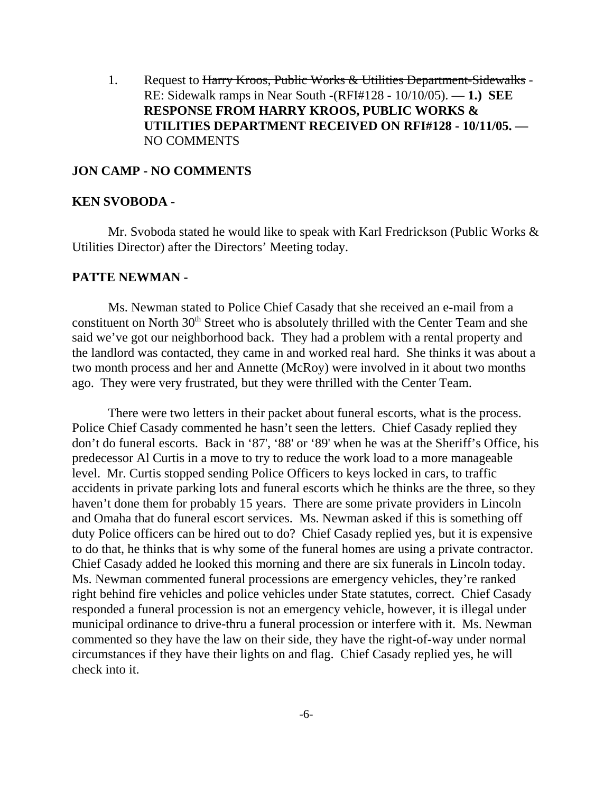1. Request to Harry Kroos, Public Works & Utilities Department-Sidewalks -RE: Sidewalk ramps in Near South -(RFI#128 - 10/10/05). — **1.) SEE RESPONSE FROM HARRY KROOS, PUBLIC WORKS & UTILITIES DEPARTMENT RECEIVED ON RFI#128 - 10/11/05. —** NO COMMENTS

#### **JON CAMP - NO COMMENTS**

#### **KEN SVOBODA -**

Mr. Svoboda stated he would like to speak with Karl Fredrickson (Public Works & Utilities Director) after the Directors' Meeting today.

#### **PATTE NEWMAN -**

Ms. Newman stated to Police Chief Casady that she received an e-mail from a constituent on North 30<sup>th</sup> Street who is absolutely thrilled with the Center Team and she said we've got our neighborhood back. They had a problem with a rental property and the landlord was contacted, they came in and worked real hard. She thinks it was about a two month process and her and Annette (McRoy) were involved in it about two months ago. They were very frustrated, but they were thrilled with the Center Team.

There were two letters in their packet about funeral escorts, what is the process. Police Chief Casady commented he hasn't seen the letters. Chief Casady replied they don't do funeral escorts. Back in '87', '88' or '89' when he was at the Sheriff's Office, his predecessor Al Curtis in a move to try to reduce the work load to a more manageable level. Mr. Curtis stopped sending Police Officers to keys locked in cars, to traffic accidents in private parking lots and funeral escorts which he thinks are the three, so they haven't done them for probably 15 years. There are some private providers in Lincoln and Omaha that do funeral escort services. Ms. Newman asked if this is something off duty Police officers can be hired out to do? Chief Casady replied yes, but it is expensive to do that, he thinks that is why some of the funeral homes are using a private contractor. Chief Casady added he looked this morning and there are six funerals in Lincoln today. Ms. Newman commented funeral processions are emergency vehicles, they're ranked right behind fire vehicles and police vehicles under State statutes, correct. Chief Casady responded a funeral procession is not an emergency vehicle, however, it is illegal under municipal ordinance to drive-thru a funeral procession or interfere with it. Ms. Newman commented so they have the law on their side, they have the right-of-way under normal circumstances if they have their lights on and flag. Chief Casady replied yes, he will check into it.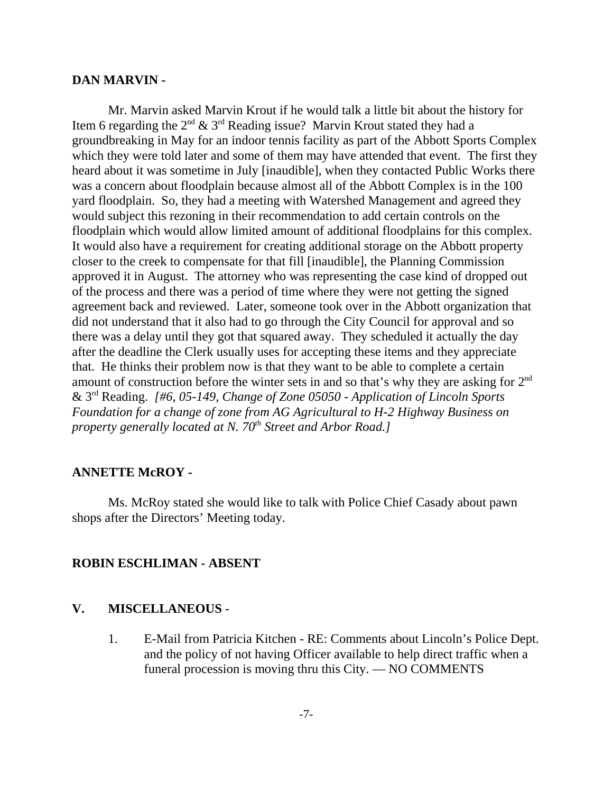#### **DAN MARVIN -**

Mr. Marvin asked Marvin Krout if he would talk a little bit about the history for Item 6 regarding the  $2^{nd}$  &  $3^{rd}$  Reading issue? Marvin Krout stated they had a groundbreaking in May for an indoor tennis facility as part of the Abbott Sports Complex which they were told later and some of them may have attended that event. The first they heard about it was sometime in July [inaudible], when they contacted Public Works there was a concern about floodplain because almost all of the Abbott Complex is in the 100 yard floodplain. So, they had a meeting with Watershed Management and agreed they would subject this rezoning in their recommendation to add certain controls on the floodplain which would allow limited amount of additional floodplains for this complex. It would also have a requirement for creating additional storage on the Abbott property closer to the creek to compensate for that fill [inaudible], the Planning Commission approved it in August. The attorney who was representing the case kind of dropped out of the process and there was a period of time where they were not getting the signed agreement back and reviewed. Later, someone took over in the Abbott organization that did not understand that it also had to go through the City Council for approval and so there was a delay until they got that squared away. They scheduled it actually the day after the deadline the Clerk usually uses for accepting these items and they appreciate that. He thinks their problem now is that they want to be able to complete a certain amount of construction before the winter sets in and so that's why they are asking for 2nd & 3rd Reading. *[#6, 05-149, Change of Zone 05050 - Application of Lincoln Sports Foundation for a change of zone from AG Agricultural to H-2 Highway Business on property generally located at N. 70<sup>th</sup> Street and Arbor Road.]* 

#### **ANNETTE McROY -**

Ms. McRoy stated she would like to talk with Police Chief Casady about pawn shops after the Directors' Meeting today.

#### **ROBIN ESCHLIMAN - ABSENT**

#### **V. MISCELLANEOUS** -

1. E-Mail from Patricia Kitchen - RE: Comments about Lincoln's Police Dept. and the policy of not having Officer available to help direct traffic when a funeral procession is moving thru this City. — NO COMMENTS